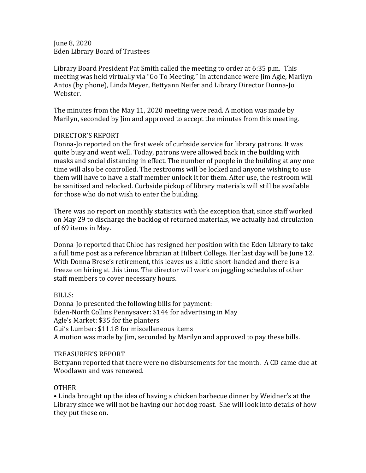June 8, 2020 Eden Library Board of Trustees

Library Board President Pat Smith called the meeting to order at 6:35 p.m. This meeting was held virtually via "Go To Meeting." In attendance were Jim Agle, Marilyn Antos (by phone), Linda Meyer, Bettyann Neifer and Library Director Donna-Jo Webster.

The minutes from the May 11, 2020 meeting were read. A motion was made by Marilyn, seconded by Jim and approved to accept the minutes from this meeting.

## DIRECTOR'S REPORT

Donna-Jo reported on the first week of curbside service for library patrons. It was quite busy and went well. Today, patrons were allowed back in the building with masks and social distancing in effect. The number of people in the building at any one time will also be controlled. The restrooms will be locked and anyone wishing to use them will have to have a staff member unlock it for them. After use, the restroom will be sanitized and relocked. Curbside pickup of library materials will still be available for those who do not wish to enter the building.

There was no report on monthly statistics with the exception that, since staff worked on May 29 to discharge the backlog of returned materials, we actually had circulation of 69 items in May.

Donna-Jo reported that Chloe has resigned her position with the Eden Library to take a full time post as a reference librarian at Hilbert College. Her last day will be June 12. With Donna Brese's retirement, this leaves us a little short-handed and there is a freeze on hiring at this time. The director will work on juggling schedules of other staff members to cover necessary hours.

## BILLS:

Donna-Jo presented the following bills for payment: Eden-North Collins Pennysaver: \$144 for advertising in May Agle's Market: \$35 for the planters Gui's Lumber: \$11.18 for miscellaneous items A motion was made by Jim, seconded by Marilyn and approved to pay these bills.

## TREASURER'S REPORT

Bettyann reported that there were no disbursements for the month. A CD came due at Woodlawn and was renewed.

## OTHER

• Linda brought up the idea of having a chicken barbecue dinner by Weidner's at the Library since we will not be having our hot dog roast. She will look into details of how they put these on.